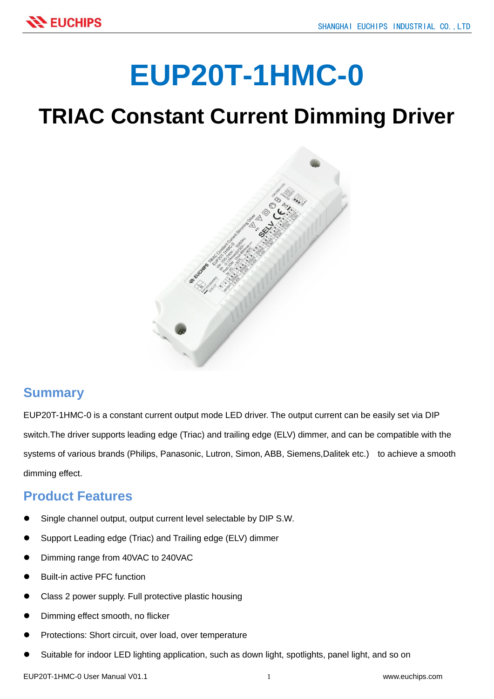# **EUP20T-1HMC-0**

## **TRIAC Constant Current Dimming Driver**



#### **Summary**

EUP20T-1HMC-0 is a constant current output mode LED driver. The output current can be easily set via DIP switch.The driver supports leading edge (Triac) and trailing edge (ELV) dimmer, and can be compatible with the systems of various brands (Philips, Panasonic, Lutron, Simon, ABB, Siemens,Dalitek etc.) to achieve a smooth dimming effect.

#### **Product Features**

- Single channel output, output current level selectable by DIP S.W.
- Support Leading edge (Triac) and Trailing edge (ELV) dimmer
- Dimming range from 40VAC to 240VAC
- Built-in active PFC function
- Class 2 power supply. Full protective plastic housing
- Dimming effect smooth, no flicker
- Protections: Short circuit, over load, over temperature
- Suitable for indoor LED lighting application, such as down light, spotlights, panel light, and so on

EUP20T-1HMC-0 User Manual V01.1 1 www.euchips.com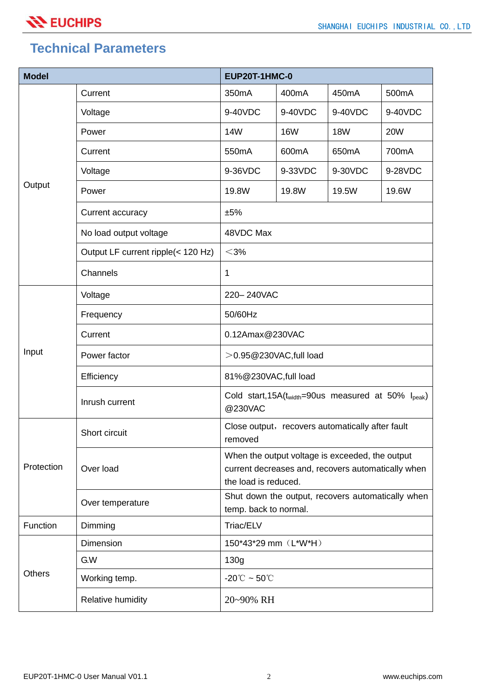#### **Technical Parameters**

| <b>Model</b>  |                                    | EUP20T-1HMC-0                                                                                                                 |                    |            |                    |  |
|---------------|------------------------------------|-------------------------------------------------------------------------------------------------------------------------------|--------------------|------------|--------------------|--|
| Output        | Current                            | 350mA                                                                                                                         | 400 <sub>m</sub> A | 450mA      | 500 <sub>m</sub> A |  |
|               | Voltage                            | 9-40VDC                                                                                                                       | 9-40VDC            | 9-40VDC    | 9-40VDC            |  |
|               | Power                              | <b>14W</b>                                                                                                                    | <b>16W</b>         | <b>18W</b> | <b>20W</b>         |  |
|               | Current                            | 550 <sub>m</sub> A                                                                                                            | 600mA              | 650mA      | 700mA              |  |
|               | Voltage                            | 9-36VDC                                                                                                                       | 9-33VDC            | 9-30VDC    | 9-28VDC            |  |
|               | Power                              | 19.8W                                                                                                                         | 19.8W              | 19.5W      | 19.6W              |  |
|               | Current accuracy                   | ±5%                                                                                                                           |                    |            |                    |  |
|               | No load output voltage             | 48VDC Max                                                                                                                     |                    |            |                    |  |
|               | Output LF current ripple(< 120 Hz) | $<$ 3%                                                                                                                        |                    |            |                    |  |
|               | Channels                           | 1                                                                                                                             |                    |            |                    |  |
| Input         | Voltage                            | 220-240VAC                                                                                                                    |                    |            |                    |  |
|               | Frequency                          | 50/60Hz                                                                                                                       |                    |            |                    |  |
|               | Current                            | 0.12Amax@230VAC                                                                                                               |                    |            |                    |  |
|               | Power factor                       | >0.95@230VAC,full load                                                                                                        |                    |            |                    |  |
|               | Efficiency                         | 81%@230VAC,full load                                                                                                          |                    |            |                    |  |
|               | Inrush current                     | Cold start, $15A(t_{width}=90$ us measured at $50\%$ I <sub>peak</sub> )<br>@230VAC                                           |                    |            |                    |  |
| Protection    | Short circuit                      | Close output, recovers automatically after fault<br>removed                                                                   |                    |            |                    |  |
|               | Over load                          | When the output voltage is exceeded, the output<br>current decreases and, recovers automatically when<br>the load is reduced. |                    |            |                    |  |
|               | Over temperature                   | Shut down the output, recovers automatically when<br>temp. back to normal.                                                    |                    |            |                    |  |
| Function      | Dimming                            | Triac/ELV                                                                                                                     |                    |            |                    |  |
| <b>Others</b> | Dimension                          | 150*43*29 mm (L*W*H)                                                                                                          |                    |            |                    |  |
|               | G.W                                | 130g                                                                                                                          |                    |            |                    |  |
|               | Working temp.                      | -20 $\degree$ C ~ 50 $\degree$ C                                                                                              |                    |            |                    |  |
|               | <b>Relative humidity</b>           | 20~90% RH                                                                                                                     |                    |            |                    |  |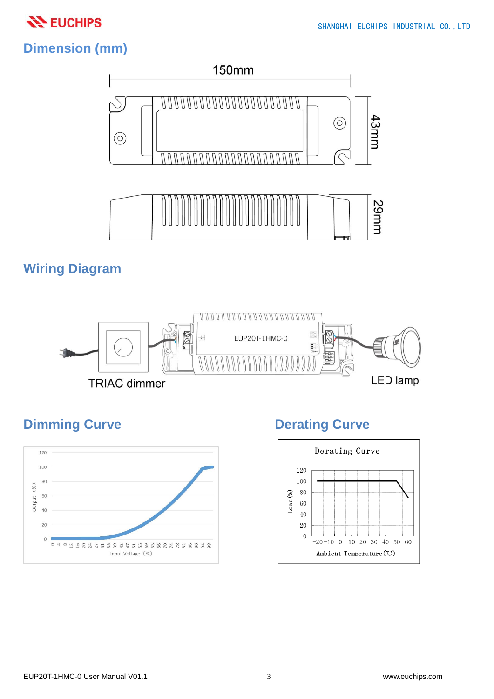

### **Dimension (mm)**



#### **Wiring Diagram**



#### **Dimming Curve Curve Derating Curve**